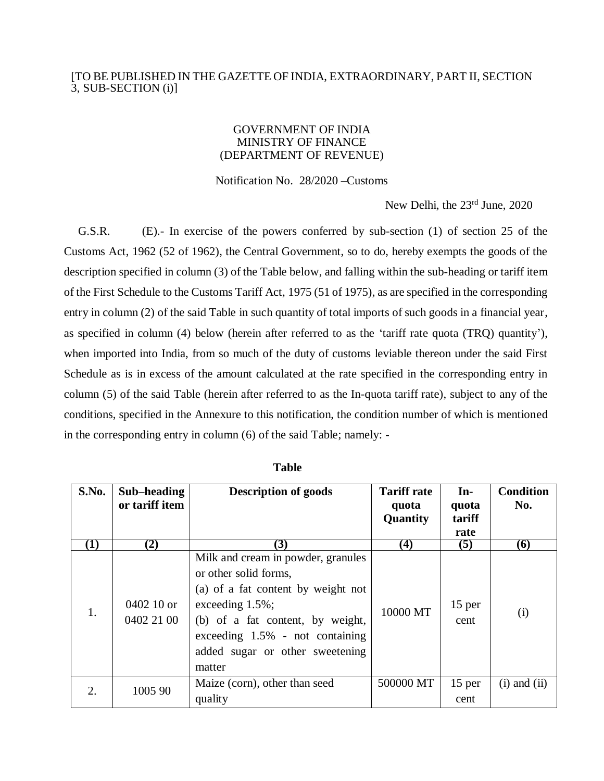## [TO BE PUBLISHED IN THE GAZETTE OF INDIA, EXTRAORDINARY, PART II, SECTION 3, SUB-SECTION (i)]

## GOVERNMENT OF INDIA MINISTRY OF FINANCE (DEPARTMENT OF REVENUE)

Notification No. 28/2020 –Customs

New Delhi, the 23<sup>rd</sup> June, 2020

G.S.R. (E).- In exercise of the powers conferred by sub-section (1) of section 25 of the Customs Act, 1962 (52 of 1962), the Central Government, so to do, hereby exempts the goods of the description specified in column (3) of the Table below, and falling within the sub-heading or tariff item of the First Schedule to the Customs Tariff Act, 1975 (51 of 1975), as are specified in the corresponding entry in column (2) of the said Table in such quantity of total imports of such goods in a financial year, as specified in column (4) below (herein after referred to as the 'tariff rate quota (TRQ) quantity'), when imported into India, from so much of the duty of customs leviable thereon under the said First Schedule as is in excess of the amount calculated at the rate specified in the corresponding entry in column (5) of the said Table (herein after referred to as the In-quota tariff rate), subject to any of the conditions, specified in the Annexure to this notification, the condition number of which is mentioned in the corresponding entry in column (6) of the said Table; namely: -

| S.No.    | Sub-heading<br>or tariff item | <b>Description of goods</b>                                                                                                                                                                                                                    | <b>Tariff rate</b><br>quota<br>Quantity | $In-$<br>quota<br>tariff<br>rate | <b>Condition</b><br>No. |
|----------|-------------------------------|------------------------------------------------------------------------------------------------------------------------------------------------------------------------------------------------------------------------------------------------|-----------------------------------------|----------------------------------|-------------------------|
| $\bf(1)$ | (2)                           | $\bf(3)$                                                                                                                                                                                                                                       | $\boldsymbol{(4)}$                      | (5)                              | (6)                     |
| 1.       | 0402 10 or<br>0402 21 00      | Milk and cream in powder, granules<br>or other solid forms,<br>(a) of a fat content by weight not<br>exceeding $1.5\%$ ;<br>(b) of a fat content, by weight,<br>exceeding $1.5%$ - not containing<br>added sugar or other sweetening<br>matter | 10000 MT                                | 15 per<br>cent                   | (i)                     |
| 2.       | 1005 90                       | Maize (corn), other than seed<br>quality                                                                                                                                                                                                       | 500000 MT                               | 15 per<br>cent                   | $(i)$ and $(ii)$        |

**Table**